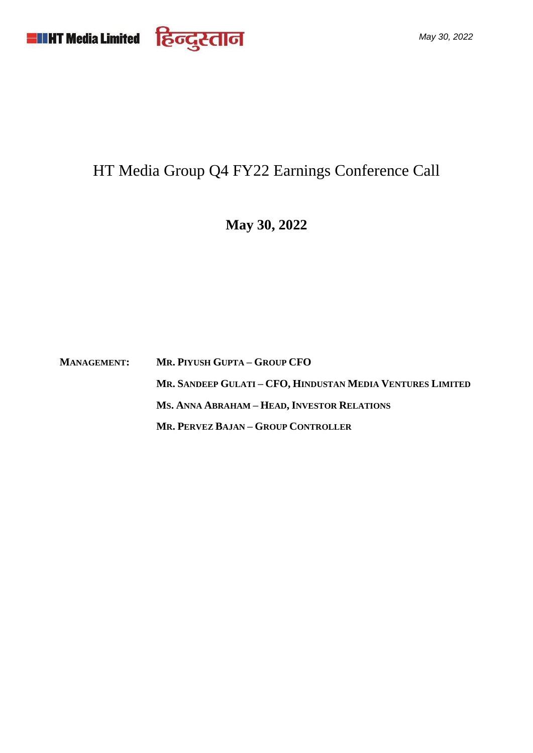

# HT Media Group Q4 FY22 Earnings Conference Call

**May 30, 2022**

**MANAGEMENT: MR. PIYUSH GUPTA – GROUP CFO MR. SANDEEP GULATI – CFO, HINDUSTAN MEDIA VENTURES LIMITED MS. ANNA ABRAHAM – HEAD, INVESTOR RELATIONS MR. PERVEZ BAJAN – GROUP CONTROLLER**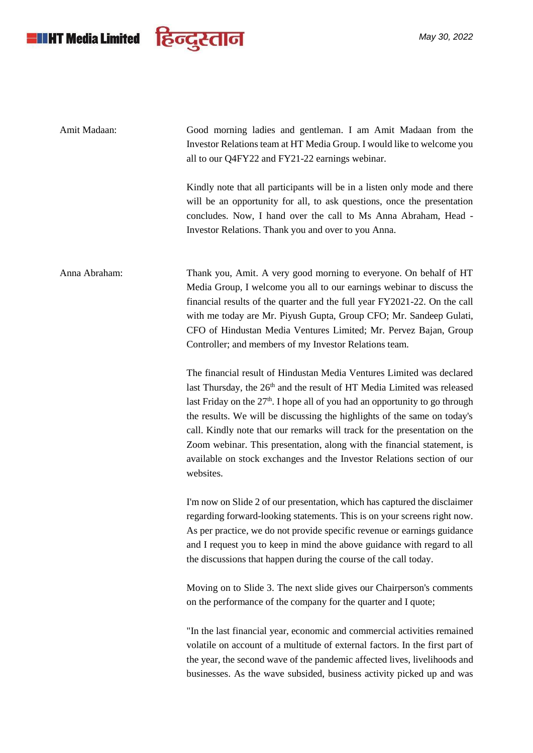

*May 30, 2022*

| Amit Madaan:  | Good morning ladies and gentleman. I am Amit Madaan from the<br>Investor Relations team at HT Media Group. I would like to welcome you<br>all to our Q4FY22 and FY21-22 earnings webinar.                                                                                                                                                                                                                                                                                                                                                                                 |
|---------------|---------------------------------------------------------------------------------------------------------------------------------------------------------------------------------------------------------------------------------------------------------------------------------------------------------------------------------------------------------------------------------------------------------------------------------------------------------------------------------------------------------------------------------------------------------------------------|
|               | Kindly note that all participants will be in a listen only mode and there<br>will be an opportunity for all, to ask questions, once the presentation<br>concludes. Now, I hand over the call to Ms Anna Abraham, Head -<br>Investor Relations. Thank you and over to you Anna.                                                                                                                                                                                                                                                                                            |
| Anna Abraham: | Thank you, Amit. A very good morning to everyone. On behalf of HT<br>Media Group, I welcome you all to our earnings webinar to discuss the<br>financial results of the quarter and the full year FY2021-22. On the call<br>with me today are Mr. Piyush Gupta, Group CFO; Mr. Sandeep Gulati,<br>CFO of Hindustan Media Ventures Limited; Mr. Pervez Bajan, Group<br>Controller; and members of my Investor Relations team.                                                                                                                                               |
|               | The financial result of Hindustan Media Ventures Limited was declared<br>last Thursday, the 26 <sup>th</sup> and the result of HT Media Limited was released<br>last Friday on the $27th$ . I hope all of you had an opportunity to go through<br>the results. We will be discussing the highlights of the same on today's<br>call. Kindly note that our remarks will track for the presentation on the<br>Zoom webinar. This presentation, along with the financial statement, is<br>available on stock exchanges and the Investor Relations section of our<br>websites. |
|               | I'm now on Slide 2 of our presentation, which has captured the disclaimer<br>regarding forward-looking statements. This is on your screens right now.<br>As per practice, we do not provide specific revenue or earnings guidance<br>and I request you to keep in mind the above guidance with regard to all<br>the discussions that happen during the course of the call today.                                                                                                                                                                                          |
|               | Moving on to Slide 3. The next slide gives our Chairperson's comments<br>on the performance of the company for the quarter and I quote;                                                                                                                                                                                                                                                                                                                                                                                                                                   |
|               | "In the last financial year, economic and commercial activities remained<br>volatile on account of a multitude of external factors. In the first part of<br>the year, the second wave of the pandemic affected lives, livelihoods and<br>businesses. As the wave subsided, business activity picked up and was                                                                                                                                                                                                                                                            |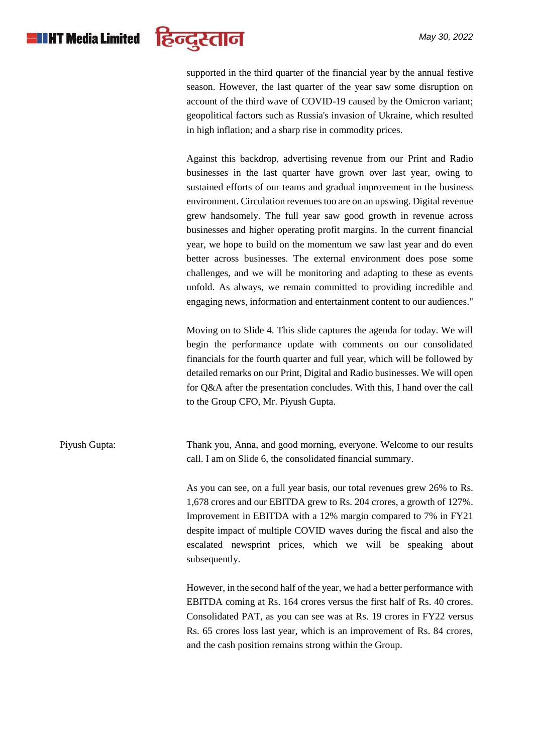

supported in the third quarter of the financial year by the annual festive season. However, the last quarter of the year saw some disruption on account of the third wave of COVID-19 caused by the Omicron variant; geopolitical factors such as Russia's invasion of Ukraine, which resulted in high inflation; and a sharp rise in commodity prices.

Against this backdrop, advertising revenue from our Print and Radio businesses in the last quarter have grown over last year, owing to sustained efforts of our teams and gradual improvement in the business environment. Circulation revenues too are on an upswing. Digital revenue grew handsomely. The full year saw good growth in revenue across businesses and higher operating profit margins. In the current financial year, we hope to build on the momentum we saw last year and do even better across businesses. The external environment does pose some challenges, and we will be monitoring and adapting to these as events unfold. As always, we remain committed to providing incredible and engaging news, information and entertainment content to our audiences."

Moving on to Slide 4. This slide captures the agenda for today. We will begin the performance update with comments on our consolidated financials for the fourth quarter and full year, which will be followed by detailed remarks on our Print, Digital and Radio businesses. We will open for Q&A after the presentation concludes. With this, I hand over the call to the Group CFO, Mr. Piyush Gupta.

Piyush Gupta: Thank you, Anna, and good morning, everyone. Welcome to our results call. I am on Slide 6, the consolidated financial summary.

> As you can see, on a full year basis, our total revenues grew 26% to Rs. 1,678 crores and our EBITDA grew to Rs. 204 crores, a growth of 127%. Improvement in EBITDA with a 12% margin compared to 7% in FY21 despite impact of multiple COVID waves during the fiscal and also the escalated newsprint prices, which we will be speaking about subsequently.

> However, in the second half of the year, we had a better performance with EBITDA coming at Rs. 164 crores versus the first half of Rs. 40 crores. Consolidated PAT, as you can see was at Rs. 19 crores in FY22 versus Rs. 65 crores loss last year, which is an improvement of Rs. 84 crores, and the cash position remains strong within the Group.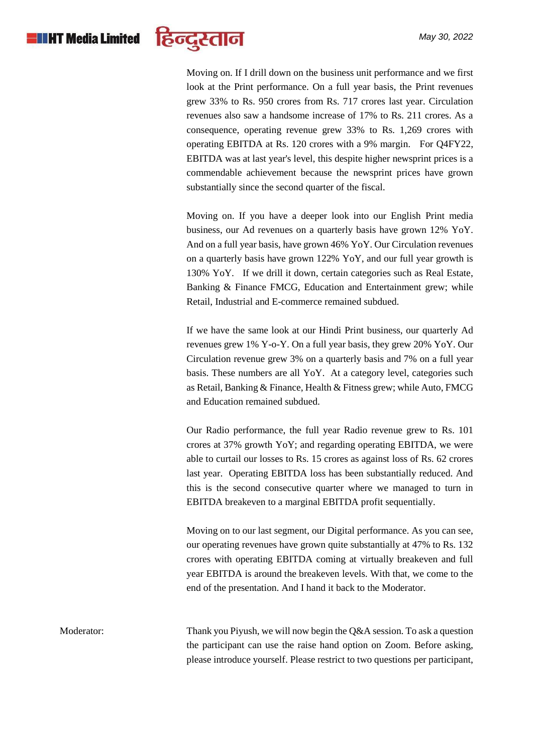

Moving on. If I drill down on the business unit performance and we first look at the Print performance. On a full year basis, the Print revenues grew 33% to Rs. 950 crores from Rs. 717 crores last year. Circulation revenues also saw a handsome increase of 17% to Rs. 211 crores. As a consequence, operating revenue grew 33% to Rs. 1,269 crores with operating EBITDA at Rs. 120 crores with a 9% margin. For Q4FY22, EBITDA was at last year's level, this despite higher newsprint prices is a commendable achievement because the newsprint prices have grown substantially since the second quarter of the fiscal.

Moving on. If you have a deeper look into our English Print media business, our Ad revenues on a quarterly basis have grown 12% YoY. And on a full year basis, have grown 46% YoY. Our Circulation revenues on a quarterly basis have grown 122% YoY, and our full year growth is 130% YoY. If we drill it down, certain categories such as Real Estate, Banking & Finance FMCG, Education and Entertainment grew; while Retail, Industrial and E-commerce remained subdued.

If we have the same look at our Hindi Print business, our quarterly Ad revenues grew 1% Y-o-Y. On a full year basis, they grew 20% YoY. Our Circulation revenue grew 3% on a quarterly basis and 7% on a full year basis. These numbers are all YoY. At a category level, categories such as Retail, Banking & Finance, Health & Fitness grew; while Auto, FMCG and Education remained subdued.

Our Radio performance, the full year Radio revenue grew to Rs. 101 crores at 37% growth YoY; and regarding operating EBITDA, we were able to curtail our losses to Rs. 15 crores as against loss of Rs. 62 crores last year. Operating EBITDA loss has been substantially reduced. And this is the second consecutive quarter where we managed to turn in EBITDA breakeven to a marginal EBITDA profit sequentially.

Moving on to our last segment, our Digital performance. As you can see, our operating revenues have grown quite substantially at 47% to Rs. 132 crores with operating EBITDA coming at virtually breakeven and full year EBITDA is around the breakeven levels. With that, we come to the end of the presentation. And I hand it back to the Moderator.

Moderator: Thank you Piyush, we will now begin the Q&A session. To ask a question the participant can use the raise hand option on Zoom. Before asking, please introduce yourself. Please restrict to two questions per participant,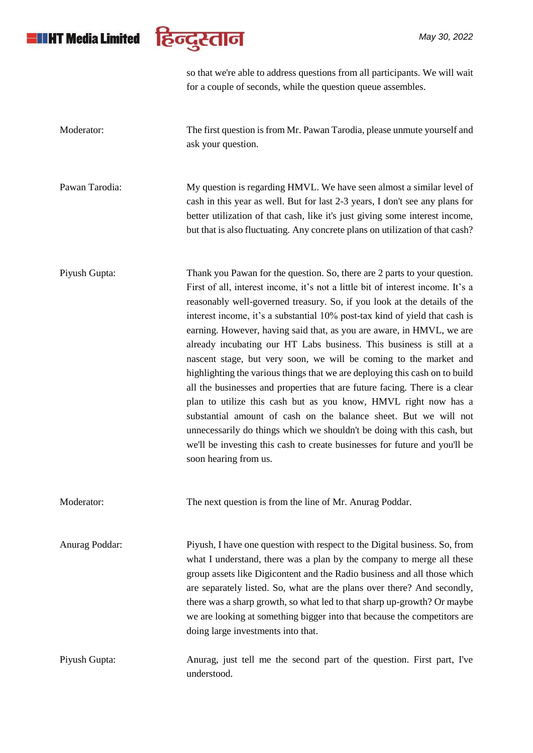## **HIHT Media Limited**



so that we're able to address questions from all participants. We will wait for a couple of seconds, while the question queue assembles.

Moderator: The first question is from Mr. Pawan Tarodia, please unmute yourself and ask your question.

Pawan Tarodia: My question is regarding HMVL. We have seen almost a similar level of cash in this year as well. But for last 2-3 years, I don't see any plans for better utilization of that cash, like it's just giving some interest income, but that is also fluctuating. Any concrete plans on utilization of that cash?

Piyush Gupta: Thank you Pawan for the question. So, there are 2 parts to your question. First of all, interest income, it's not a little bit of interest income. It's a reasonably well-governed treasury. So, if you look at the details of the interest income, it's a substantial 10% post-tax kind of yield that cash is earning. However, having said that, as you are aware, in HMVL, we are already incubating our HT Labs business. This business is still at a nascent stage, but very soon, we will be coming to the market and highlighting the various things that we are deploying this cash on to build all the businesses and properties that are future facing. There is a clear plan to utilize this cash but as you know, HMVL right now has a substantial amount of cash on the balance sheet. But we will not unnecessarily do things which we shouldn't be doing with this cash, but we'll be investing this cash to create businesses for future and you'll be soon hearing from us.

Moderator: The next question is from the line of Mr. Anurag Poddar.

Anurag Poddar: Piyush, I have one question with respect to the Digital business. So, from what I understand, there was a plan by the company to merge all these group assets like Digicontent and the Radio business and all those which are separately listed. So, what are the plans over there? And secondly, there was a sharp growth, so what led to that sharp up-growth? Or maybe we are looking at something bigger into that because the competitors are doing large investments into that.

Piyush Gupta: Anurag, just tell me the second part of the question. First part, I've understood.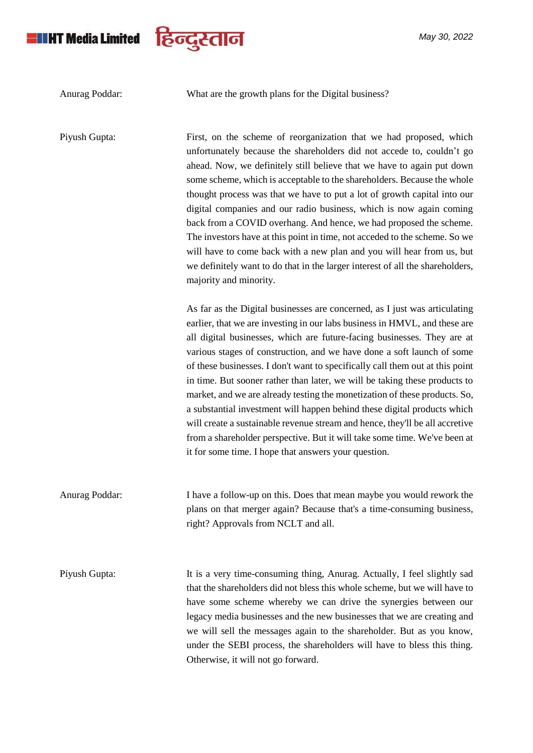# **ENIT Media Limited**



Anurag Poddar: What are the growth plans for the Digital business?

*May 30, 2022*

Piyush Gupta: First, on the scheme of reorganization that we had proposed, which unfortunately because the shareholders did not accede to, couldn't go ahead. Now, we definitely still believe that we have to again put down some scheme, which is acceptable to the shareholders. Because the whole thought process was that we have to put a lot of growth capital into our digital companies and our radio business, which is now again coming back from a COVID overhang. And hence, we had proposed the scheme. The investors have at this point in time, not acceded to the scheme. So we will have to come back with a new plan and you will hear from us, but we definitely want to do that in the larger interest of all the shareholders, majority and minority. As far as the Digital businesses are concerned, as I just was articulating earlier, that we are investing in our labs business in HMVL, and these are all digital businesses, which are future-facing businesses. They are at various stages of construction, and we have done a soft launch of some of these businesses. I don't want to specifically call them out at this point in time. But sooner rather than later, we will be taking these products to market, and we are already testing the monetization of these products. So, a substantial investment will happen behind these digital products which will create a sustainable revenue stream and hence, they'll be all accretive from a shareholder perspective. But it will take some time. We've been at it for some time. I hope that answers your question. Anurag Poddar: I have a follow-up on this. Does that mean maybe you would rework the plans on that merger again? Because that's a time-consuming business, right? Approvals from NCLT and all. Piyush Gupta: It is a very time-consuming thing, Anurag. Actually, I feel slightly sad that the shareholders did not bless this whole scheme, but we will have to have some scheme whereby we can drive the synergies between our legacy media businesses and the new businesses that we are creating and we will sell the messages again to the shareholder. But as you know, under the SEBI process, the shareholders will have to bless this thing.

Otherwise, it will not go forward.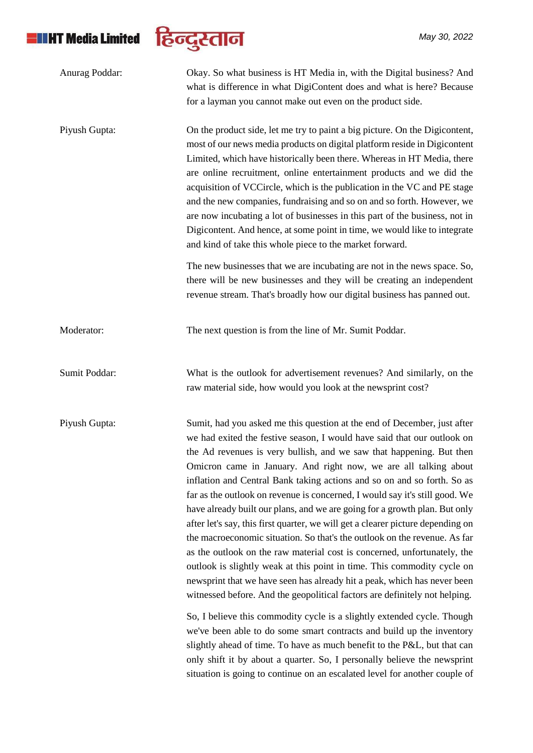

| Anurag Poddar: | Okay. So what business is HT Media in, with the Digital business? And<br>what is difference in what DigiContent does and what is here? Because<br>for a layman you cannot make out even on the product side.                                                                                                                                                                                                                                                                                                                                                                                                                                                                                                                                                                                                                                                                                                                                                                                                                                                                                                                                                                                                                                                                                                                                                                                                       |
|----------------|--------------------------------------------------------------------------------------------------------------------------------------------------------------------------------------------------------------------------------------------------------------------------------------------------------------------------------------------------------------------------------------------------------------------------------------------------------------------------------------------------------------------------------------------------------------------------------------------------------------------------------------------------------------------------------------------------------------------------------------------------------------------------------------------------------------------------------------------------------------------------------------------------------------------------------------------------------------------------------------------------------------------------------------------------------------------------------------------------------------------------------------------------------------------------------------------------------------------------------------------------------------------------------------------------------------------------------------------------------------------------------------------------------------------|
| Piyush Gupta:  | On the product side, let me try to paint a big picture. On the Digicontent,<br>most of our news media products on digital platform reside in Digicontent<br>Limited, which have historically been there. Whereas in HT Media, there<br>are online recruitment, online entertainment products and we did the<br>acquisition of VCCircle, which is the publication in the VC and PE stage<br>and the new companies, fundraising and so on and so forth. However, we<br>are now incubating a lot of businesses in this part of the business, not in<br>Digicontent. And hence, at some point in time, we would like to integrate<br>and kind of take this whole piece to the market forward.                                                                                                                                                                                                                                                                                                                                                                                                                                                                                                                                                                                                                                                                                                                          |
|                | The new businesses that we are incubating are not in the news space. So,<br>there will be new businesses and they will be creating an independent<br>revenue stream. That's broadly how our digital business has panned out.                                                                                                                                                                                                                                                                                                                                                                                                                                                                                                                                                                                                                                                                                                                                                                                                                                                                                                                                                                                                                                                                                                                                                                                       |
| Moderator:     | The next question is from the line of Mr. Sumit Poddar.                                                                                                                                                                                                                                                                                                                                                                                                                                                                                                                                                                                                                                                                                                                                                                                                                                                                                                                                                                                                                                                                                                                                                                                                                                                                                                                                                            |
| Sumit Poddar:  | What is the outlook for advertisement revenues? And similarly, on the<br>raw material side, how would you look at the newsprint cost?                                                                                                                                                                                                                                                                                                                                                                                                                                                                                                                                                                                                                                                                                                                                                                                                                                                                                                                                                                                                                                                                                                                                                                                                                                                                              |
| Piyush Gupta:  | Sumit, had you asked me this question at the end of December, just after<br>we had exited the festive season, I would have said that our outlook on<br>the Ad revenues is very bullish, and we saw that happening. But then<br>Omicron came in January. And right now, we are all talking about<br>inflation and Central Bank taking actions and so on and so forth. So as<br>far as the outlook on revenue is concerned, I would say it's still good. We<br>have already built our plans, and we are going for a growth plan. But only<br>after let's say, this first quarter, we will get a clearer picture depending on<br>the macroeconomic situation. So that's the outlook on the revenue. As far<br>as the outlook on the raw material cost is concerned, unfortunately, the<br>outlook is slightly weak at this point in time. This commodity cycle on<br>newsprint that we have seen has already hit a peak, which has never been<br>witnessed before. And the geopolitical factors are definitely not helping.<br>So, I believe this commodity cycle is a slightly extended cycle. Though<br>we've been able to do some smart contracts and build up the inventory<br>slightly ahead of time. To have as much benefit to the P&L, but that can<br>only shift it by about a quarter. So, I personally believe the newsprint<br>situation is going to continue on an escalated level for another couple of |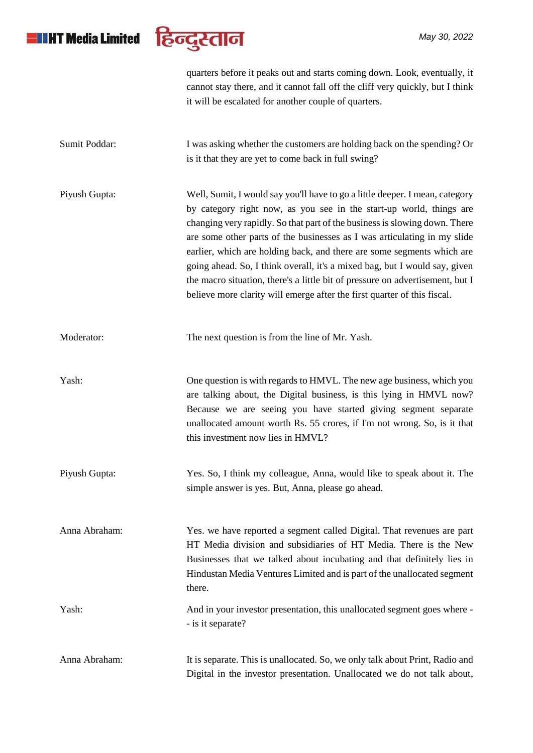# **ETHY Media Limited**



quarters before it peaks out and starts coming down. Look, eventually, it cannot stay there, and it cannot fall off the cliff very quickly, but I think it will be escalated for another couple of quarters.

| Sumit Poddar: | I was asking whether the customers are holding back on the spending? Or<br>is it that they are yet to come back in full swing?                                                                                                                                                                                                                                                                                                                                                                                                                                                                                                     |
|---------------|------------------------------------------------------------------------------------------------------------------------------------------------------------------------------------------------------------------------------------------------------------------------------------------------------------------------------------------------------------------------------------------------------------------------------------------------------------------------------------------------------------------------------------------------------------------------------------------------------------------------------------|
|               |                                                                                                                                                                                                                                                                                                                                                                                                                                                                                                                                                                                                                                    |
| Piyush Gupta: | Well, Sumit, I would say you'll have to go a little deeper. I mean, category<br>by category right now, as you see in the start-up world, things are<br>changing very rapidly. So that part of the business is slowing down. There<br>are some other parts of the businesses as I was articulating in my slide<br>earlier, which are holding back, and there are some segments which are<br>going ahead. So, I think overall, it's a mixed bag, but I would say, given<br>the macro situation, there's a little bit of pressure on advertisement, but I<br>believe more clarity will emerge after the first quarter of this fiscal. |
| Moderator:    | The next question is from the line of Mr. Yash.                                                                                                                                                                                                                                                                                                                                                                                                                                                                                                                                                                                    |

Yash: One question is with regards to HMVL. The new age business, which you are talking about, the Digital business, is this lying in HMVL now? Because we are seeing you have started giving segment separate unallocated amount worth Rs. 55 crores, if I'm not wrong. So, is it that this investment now lies in HMVL?

Piyush Gupta: Yes. So, I think my colleague, Anna, would like to speak about it. The simple answer is yes. But, Anna, please go ahead.

Anna Abraham: Yes. we have reported a segment called Digital. That revenues are part HT Media division and subsidiaries of HT Media. There is the New Businesses that we talked about incubating and that definitely lies in Hindustan Media Ventures Limited and is part of the unallocated segment there.

### Yash: And in your investor presentation, this unallocated segment goes where - - is it separate?

Anna Abraham: It is separate. This is unallocated. So, we only talk about Print, Radio and Digital in the investor presentation. Unallocated we do not talk about,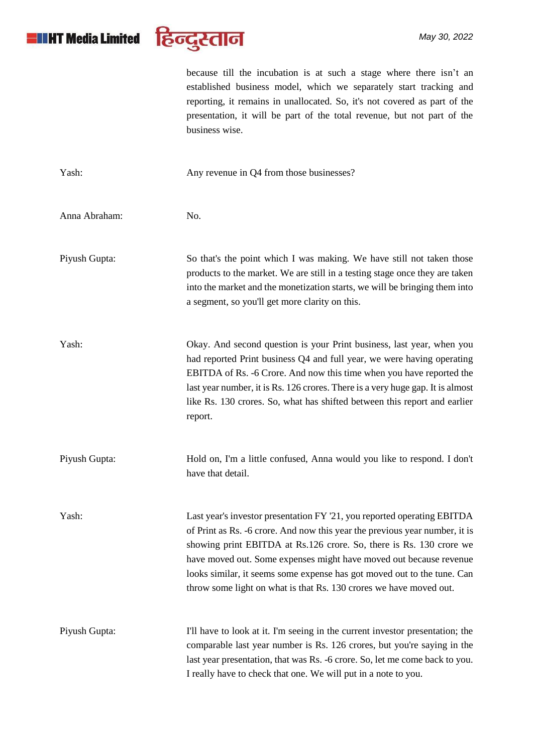

because till the incubation is at such a stage where there isn't an established business model, which we separately start tracking and reporting, it remains in unallocated. So, it's not covered as part of the presentation, it will be part of the total revenue, but not part of the business wise.

| Yash:         | Any revenue in Q4 from those businesses?                                                                                                                                                                                                                                                                                                                                                                                                             |
|---------------|------------------------------------------------------------------------------------------------------------------------------------------------------------------------------------------------------------------------------------------------------------------------------------------------------------------------------------------------------------------------------------------------------------------------------------------------------|
| Anna Abraham: | No.                                                                                                                                                                                                                                                                                                                                                                                                                                                  |
| Piyush Gupta: | So that's the point which I was making. We have still not taken those<br>products to the market. We are still in a testing stage once they are taken<br>into the market and the monetization starts, we will be bringing them into<br>a segment, so you'll get more clarity on this.                                                                                                                                                                 |
| Yash:         | Okay. And second question is your Print business, last year, when you<br>had reported Print business Q4 and full year, we were having operating<br>EBITDA of Rs. -6 Crore. And now this time when you have reported the<br>last year number, it is Rs. 126 crores. There is a very huge gap. It is almost<br>like Rs. 130 crores. So, what has shifted between this report and earlier<br>report.                                                    |
| Piyush Gupta: | Hold on, I'm a little confused, Anna would you like to respond. I don't<br>have that detail.                                                                                                                                                                                                                                                                                                                                                         |
| Yash:         | Last year's investor presentation FY '21, you reported operating EBITDA<br>of Print as Rs. -6 crore. And now this year the previous year number, it is<br>showing print EBITDA at Rs.126 crore. So, there is Rs. 130 crore we<br>have moved out. Some expenses might have moved out because revenue<br>looks similar, it seems some expense has got moved out to the tune. Can<br>throw some light on what is that Rs. 130 crores we have moved out. |
| Piyush Gupta: | I'll have to look at it. I'm seeing in the current investor presentation; the<br>comparable last year number is Rs. 126 crores, but you're saying in the<br>last year presentation, that was Rs. -6 crore. So, let me come back to you.<br>I really have to check that one. We will put in a note to you.                                                                                                                                            |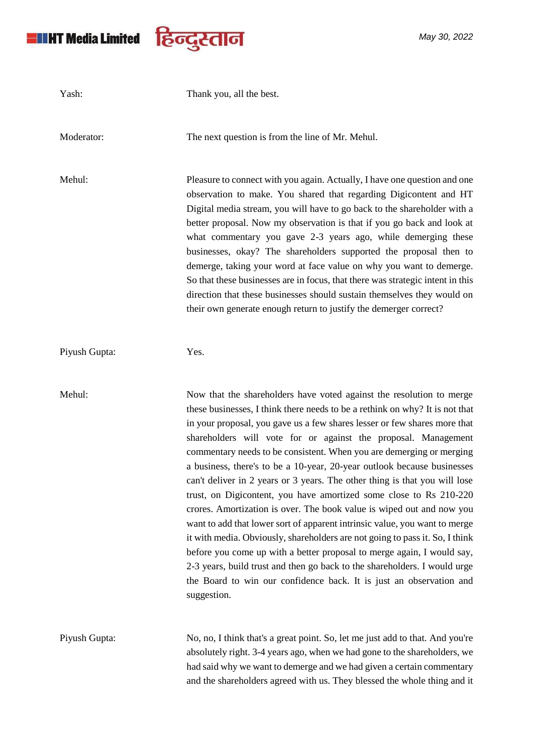

| Yash:         | Thank you, all the best.                                                                                                                                                                                                                                                                                                                                                                                                                                                                                                                                                                                                                                                                                                                                                                                                                                                                                                                                                                                                                                                                       |
|---------------|------------------------------------------------------------------------------------------------------------------------------------------------------------------------------------------------------------------------------------------------------------------------------------------------------------------------------------------------------------------------------------------------------------------------------------------------------------------------------------------------------------------------------------------------------------------------------------------------------------------------------------------------------------------------------------------------------------------------------------------------------------------------------------------------------------------------------------------------------------------------------------------------------------------------------------------------------------------------------------------------------------------------------------------------------------------------------------------------|
| Moderator:    | The next question is from the line of Mr. Mehul.                                                                                                                                                                                                                                                                                                                                                                                                                                                                                                                                                                                                                                                                                                                                                                                                                                                                                                                                                                                                                                               |
| Mehul:        | Pleasure to connect with you again. Actually, I have one question and one<br>observation to make. You shared that regarding Digicontent and HT<br>Digital media stream, you will have to go back to the shareholder with a<br>better proposal. Now my observation is that if you go back and look at<br>what commentary you gave 2-3 years ago, while demerging these<br>businesses, okay? The shareholders supported the proposal then to<br>demerge, taking your word at face value on why you want to demerge.<br>So that these businesses are in focus, that there was strategic intent in this<br>direction that these businesses should sustain themselves they would on<br>their own generate enough return to justify the demerger correct?                                                                                                                                                                                                                                                                                                                                            |
| Piyush Gupta: | Yes.                                                                                                                                                                                                                                                                                                                                                                                                                                                                                                                                                                                                                                                                                                                                                                                                                                                                                                                                                                                                                                                                                           |
| Mehul:        | Now that the shareholders have voted against the resolution to merge<br>these businesses, I think there needs to be a rethink on why? It is not that<br>in your proposal, you gave us a few shares lesser or few shares more that<br>shareholders will vote for or against the proposal. Management<br>commentary needs to be consistent. When you are demerging or merging<br>a business, there's to be a 10-year, 20-year outlook because businesses<br>can't deliver in 2 years or 3 years. The other thing is that you will lose<br>trust, on Digicontent, you have amortized some close to Rs 210-220<br>crores. Amortization is over. The book value is wiped out and now you<br>want to add that lower sort of apparent intrinsic value, you want to merge<br>it with media. Obviously, shareholders are not going to pass it. So, I think<br>before you come up with a better proposal to merge again, I would say,<br>2-3 years, build trust and then go back to the shareholders. I would urge<br>the Board to win our confidence back. It is just an observation and<br>suggestion. |
| Piyush Gupta: | No, no, I think that's a great point. So, let me just add to that. And you're<br>absolutely right. 3-4 years ago, when we had gone to the shareholders, we<br>had said why we want to demerge and we had given a certain commentary<br>and the shareholders agreed with us. They blessed the whole thing and it                                                                                                                                                                                                                                                                                                                                                                                                                                                                                                                                                                                                                                                                                                                                                                                |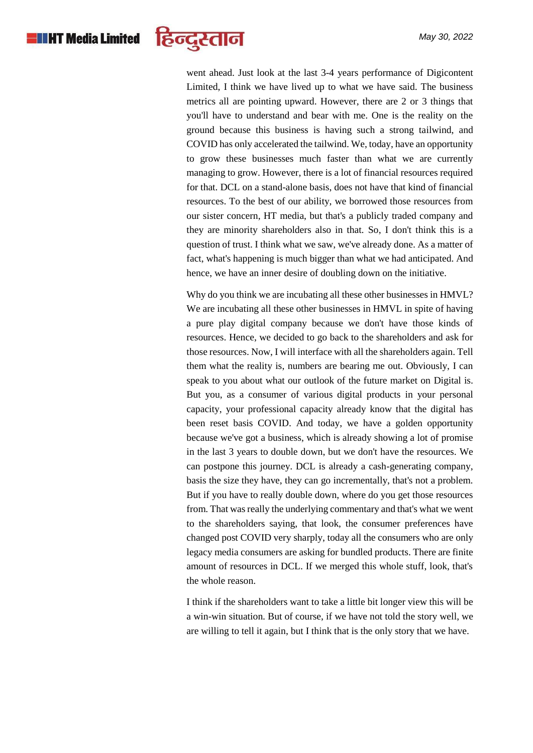

went ahead. Just look at the last 3-4 years performance of Digicontent Limited, I think we have lived up to what we have said. The business metrics all are pointing upward. However, there are 2 or 3 things that you'll have to understand and bear with me. One is the reality on the ground because this business is having such a strong tailwind, and COVID has only accelerated the tailwind. We, today, have an opportunity to grow these businesses much faster than what we are currently managing to grow. However, there is a lot of financial resources required for that. DCL on a stand-alone basis, does not have that kind of financial resources. To the best of our ability, we borrowed those resources from our sister concern, HT media, but that's a publicly traded company and they are minority shareholders also in that. So, I don't think this is a question of trust. I think what we saw, we've already done. As a matter of fact, what's happening is much bigger than what we had anticipated. And hence, we have an inner desire of doubling down on the initiative.

Why do you think we are incubating all these other businesses in HMVL? We are incubating all these other businesses in HMVL in spite of having a pure play digital company because we don't have those kinds of resources. Hence, we decided to go back to the shareholders and ask for those resources. Now, I will interface with all the shareholders again. Tell them what the reality is, numbers are bearing me out. Obviously, I can speak to you about what our outlook of the future market on Digital is. But you, as a consumer of various digital products in your personal capacity, your professional capacity already know that the digital has been reset basis COVID. And today, we have a golden opportunity because we've got a business, which is already showing a lot of promise in the last 3 years to double down, but we don't have the resources. We can postpone this journey. DCL is already a cash-generating company, basis the size they have, they can go incrementally, that's not a problem. But if you have to really double down, where do you get those resources from. That was really the underlying commentary and that's what we went to the shareholders saying, that look, the consumer preferences have changed post COVID very sharply, today all the consumers who are only legacy media consumers are asking for bundled products. There are finite amount of resources in DCL. If we merged this whole stuff, look, that's the whole reason.

I think if the shareholders want to take a little bit longer view this will be a win-win situation. But of course, if we have not told the story well, we are willing to tell it again, but I think that is the only story that we have.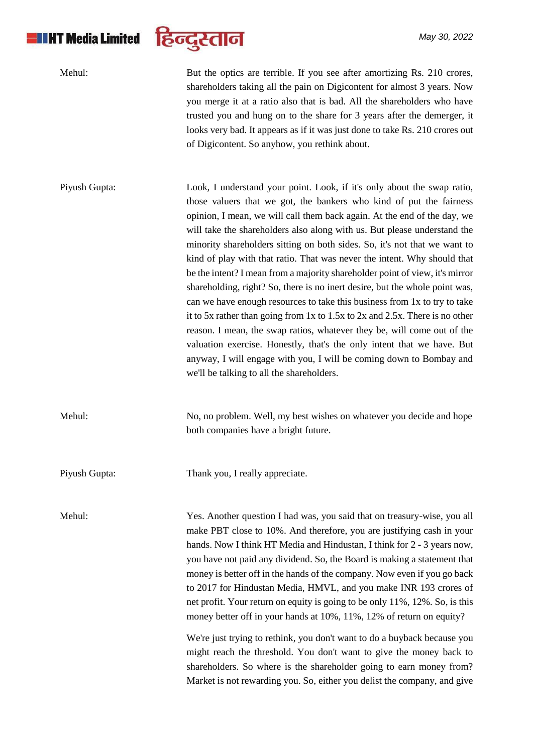# **ETHT Media Limited**



| Mehul:        | But the optics are terrible. If you see after amortizing Rs. 210 crores,<br>shareholders taking all the pain on Digicontent for almost 3 years. Now<br>you merge it at a ratio also that is bad. All the shareholders who have<br>trusted you and hung on to the share for 3 years after the demerger, it<br>looks very bad. It appears as if it was just done to take Rs. 210 crores out<br>of Digicontent. So anyhow, you rethink about.                                                                                                                                                                                                                                                                                                                                                                                                                                                                                                                                                                                                                           |
|---------------|----------------------------------------------------------------------------------------------------------------------------------------------------------------------------------------------------------------------------------------------------------------------------------------------------------------------------------------------------------------------------------------------------------------------------------------------------------------------------------------------------------------------------------------------------------------------------------------------------------------------------------------------------------------------------------------------------------------------------------------------------------------------------------------------------------------------------------------------------------------------------------------------------------------------------------------------------------------------------------------------------------------------------------------------------------------------|
| Piyush Gupta: | Look, I understand your point. Look, if it's only about the swap ratio,<br>those valuers that we got, the bankers who kind of put the fairness<br>opinion, I mean, we will call them back again. At the end of the day, we<br>will take the shareholders also along with us. But please understand the<br>minority shareholders sitting on both sides. So, it's not that we want to<br>kind of play with that ratio. That was never the intent. Why should that<br>be the intent? I mean from a majority shareholder point of view, it's mirror<br>shareholding, right? So, there is no inert desire, but the whole point was,<br>can we have enough resources to take this business from 1x to try to take<br>it to 5x rather than going from 1x to 1.5x to 2x and 2.5x. There is no other<br>reason. I mean, the swap ratios, whatever they be, will come out of the<br>valuation exercise. Honestly, that's the only intent that we have. But<br>anyway, I will engage with you, I will be coming down to Bombay and<br>we'll be talking to all the shareholders. |
| Mehul:        | No, no problem. Well, my best wishes on whatever you decide and hope<br>both companies have a bright future.                                                                                                                                                                                                                                                                                                                                                                                                                                                                                                                                                                                                                                                                                                                                                                                                                                                                                                                                                         |
| Piyush Gupta: | Thank you, I really appreciate.                                                                                                                                                                                                                                                                                                                                                                                                                                                                                                                                                                                                                                                                                                                                                                                                                                                                                                                                                                                                                                      |
| Mehul:        | Yes. Another question I had was, you said that on treasury-wise, you all<br>make PBT close to 10%. And therefore, you are justifying cash in your<br>hands. Now I think HT Media and Hindustan, I think for 2 - 3 years now,<br>you have not paid any dividend. So, the Board is making a statement that<br>money is better off in the hands of the company. Now even if you go back<br>to 2017 for Hindustan Media, HMVL, and you make INR 193 crores of<br>net profit. Your return on equity is going to be only 11%, 12%. So, is this<br>money better off in your hands at 10%, 11%, 12% of return on equity?<br>We're just trying to rethink, you don't want to do a buyback because you                                                                                                                                                                                                                                                                                                                                                                         |

might reach the threshold. You don't want to give the money back to shareholders. So where is the shareholder going to earn money from? Market is not rewarding you. So, either you delist the company, and give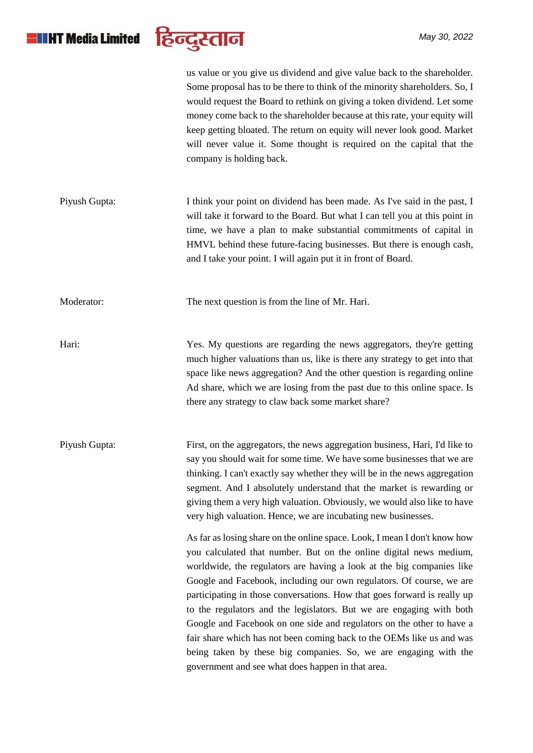## **HILHT Media Limited**



us value or you give us dividend and give value back to the shareholder. Some proposal has to be there to think of the minority shareholders. So, I would request the Board to rethink on giving a token dividend. Let some money come back to the shareholder because at this rate, your equity will keep getting bloated. The return on equity will never look good. Market will never value it. Some thought is required on the capital that the company is holding back. Piyush Gupta: I think your point on dividend has been made. As I've said in the past, I will take it forward to the Board. But what I can tell you at this point in time, we have a plan to make substantial commitments of capital in HMVL behind these future-facing businesses. But there is enough cash, and I take your point. I will again put it in front of Board. Moderator: The next question is from the line of Mr. Hari. Hari: Yes. My questions are regarding the news aggregators, they're getting much higher valuations than us, like is there any strategy to get into that space like news aggregation? And the other question is regarding online Ad share, which we are losing from the past due to this online space. Is there any strategy to claw back some market share? Piyush Gupta: First, on the aggregators, the news aggregation business, Hari, I'd like to say you should wait for some time. We have some businesses that we are thinking. I can't exactly say whether they will be in the news aggregation segment. And I absolutely understand that the market is rewarding or giving them a very high valuation. Obviously, we would also like to have very high valuation. Hence, we are incubating new businesses. As far as losing share on the online space. Look, I mean I don't know how you calculated that number. But on the online digital news medium, worldwide, the regulators are having a look at the big companies like Google and Facebook, including our own regulators. Of course, we are participating in those conversations. How that goes forward is really up to the regulators and the legislators. But we are engaging with both Google and Facebook on one side and regulators on the other to have a fair share which has not been coming back to the OEMs like us and was being taken by these big companies. So, we are engaging with the government and see what does happen in that area.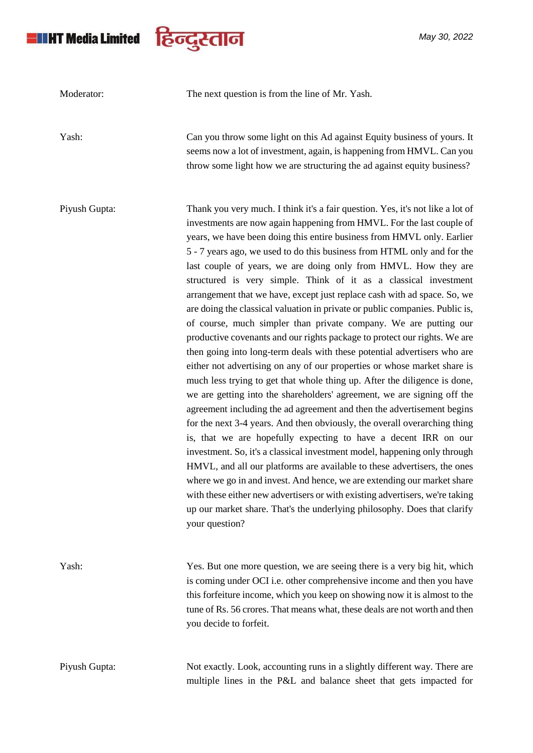

*May 30, 2022*

| Moderator:    | The next question is from the line of Mr. Yash.                                                                                                                                                                                                                                                                                                                                                                                                                                                                                                                                                                                                                                                                                                                                                                                                                                                                                                                                                                                                                                                                                                                                                                                                                                                                                                                                                                                                                                                                                                                                                                                                                                                                              |
|---------------|------------------------------------------------------------------------------------------------------------------------------------------------------------------------------------------------------------------------------------------------------------------------------------------------------------------------------------------------------------------------------------------------------------------------------------------------------------------------------------------------------------------------------------------------------------------------------------------------------------------------------------------------------------------------------------------------------------------------------------------------------------------------------------------------------------------------------------------------------------------------------------------------------------------------------------------------------------------------------------------------------------------------------------------------------------------------------------------------------------------------------------------------------------------------------------------------------------------------------------------------------------------------------------------------------------------------------------------------------------------------------------------------------------------------------------------------------------------------------------------------------------------------------------------------------------------------------------------------------------------------------------------------------------------------------------------------------------------------------|
| Yash:         | Can you throw some light on this Ad against Equity business of yours. It<br>seems now a lot of investment, again, is happening from HMVL. Can you<br>throw some light how we are structuring the ad against equity business?                                                                                                                                                                                                                                                                                                                                                                                                                                                                                                                                                                                                                                                                                                                                                                                                                                                                                                                                                                                                                                                                                                                                                                                                                                                                                                                                                                                                                                                                                                 |
| Piyush Gupta: | Thank you very much. I think it's a fair question. Yes, it's not like a lot of<br>investments are now again happening from HMVL. For the last couple of<br>years, we have been doing this entire business from HMVL only. Earlier<br>5 - 7 years ago, we used to do this business from HTML only and for the<br>last couple of years, we are doing only from HMVL. How they are<br>structured is very simple. Think of it as a classical investment<br>arrangement that we have, except just replace cash with ad space. So, we<br>are doing the classical valuation in private or public companies. Public is,<br>of course, much simpler than private company. We are putting our<br>productive covenants and our rights package to protect our rights. We are<br>then going into long-term deals with these potential advertisers who are<br>either not advertising on any of our properties or whose market share is<br>much less trying to get that whole thing up. After the diligence is done,<br>we are getting into the shareholders' agreement, we are signing off the<br>agreement including the ad agreement and then the advertisement begins<br>for the next 3-4 years. And then obviously, the overall overarching thing<br>is, that we are hopefully expecting to have a decent IRR on our<br>investment. So, it's a classical investment model, happening only through<br>HMVL, and all our platforms are available to these advertisers, the ones<br>where we go in and invest. And hence, we are extending our market share<br>with these either new advertisers or with existing advertisers, we're taking<br>up our market share. That's the underlying philosophy. Does that clarify<br>your question? |
| Yash:         | Yes. But one more question, we are seeing there is a very big hit, which<br>is coming under OCI i.e. other comprehensive income and then you have<br>this forfeiture income, which you keep on showing now it is almost to the<br>tune of Rs. 56 crores. That means what, these deals are not worth and then<br>you decide to forfeit.                                                                                                                                                                                                                                                                                                                                                                                                                                                                                                                                                                                                                                                                                                                                                                                                                                                                                                                                                                                                                                                                                                                                                                                                                                                                                                                                                                                       |
| Piyush Gupta: | Not exactly. Look, accounting runs in a slightly different way. There are<br>multiple lines in the P&L and balance sheet that gets impacted for                                                                                                                                                                                                                                                                                                                                                                                                                                                                                                                                                                                                                                                                                                                                                                                                                                                                                                                                                                                                                                                                                                                                                                                                                                                                                                                                                                                                                                                                                                                                                                              |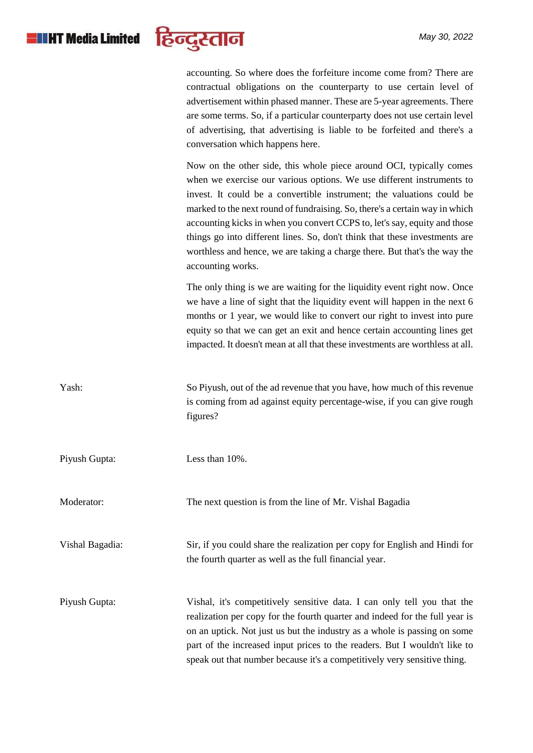# **HILHT** Media Limited



accounting. So where does the forfeiture income come from? There are contractual obligations on the counterparty to use certain level of advertisement within phased manner. These are 5-year agreements. There are some terms. So, if a particular counterparty does not use certain level of advertising, that advertising is liable to be forfeited and there's a conversation which happens here.

Now on the other side, this whole piece around OCI, typically comes when we exercise our various options. We use different instruments to invest. It could be a convertible instrument; the valuations could be marked to the next round of fundraising. So, there's a certain way in which accounting kicks in when you convert CCPS to, let's say, equity and those things go into different lines. So, don't think that these investments are worthless and hence, we are taking a charge there. But that's the way the accounting works.

The only thing is we are waiting for the liquidity event right now. Once we have a line of sight that the liquidity event will happen in the next 6 months or 1 year, we would like to convert our right to invest into pure equity so that we can get an exit and hence certain accounting lines get impacted. It doesn't mean at all that these investments are worthless at all.

| Yash:           | So Piyush, out of the ad revenue that you have, how much of this revenue<br>is coming from ad against equity percentage-wise, if you can give rough<br>figures?                                                                                                                                                                                                                             |
|-----------------|---------------------------------------------------------------------------------------------------------------------------------------------------------------------------------------------------------------------------------------------------------------------------------------------------------------------------------------------------------------------------------------------|
| Piyush Gupta:   | Less than 10%.                                                                                                                                                                                                                                                                                                                                                                              |
| Moderator:      | The next question is from the line of Mr. Vishal Bagadia                                                                                                                                                                                                                                                                                                                                    |
| Vishal Bagadia: | Sir, if you could share the realization per copy for English and Hindi for<br>the fourth quarter as well as the full financial year.                                                                                                                                                                                                                                                        |
| Piyush Gupta:   | Vishal, it's competitively sensitive data. I can only tell you that the<br>realization per copy for the fourth quarter and indeed for the full year is<br>on an uptick. Not just us but the industry as a whole is passing on some<br>part of the increased input prices to the readers. But I wouldn't like to<br>speak out that number because it's a competitively very sensitive thing. |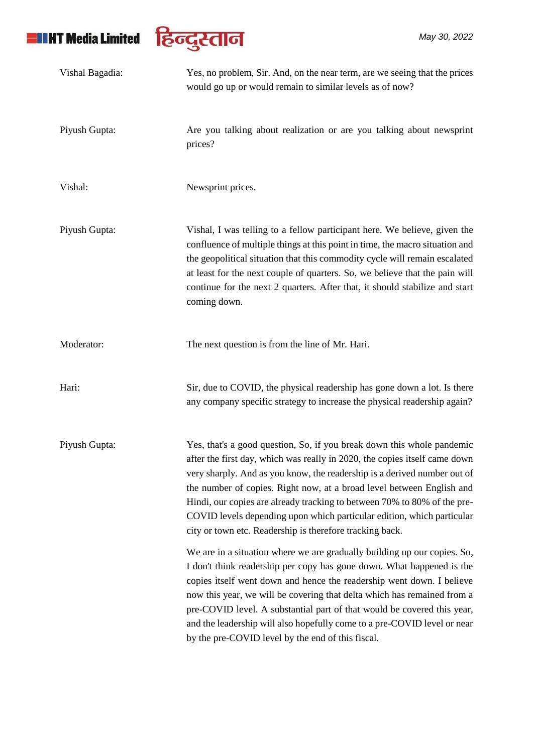

| Vishal Bagadia: | Yes, no problem, Sir. And, on the near term, are we seeing that the prices<br>would go up or would remain to similar levels as of now?                                                                                                                                                                                                                                                                                                                                                                                      |
|-----------------|-----------------------------------------------------------------------------------------------------------------------------------------------------------------------------------------------------------------------------------------------------------------------------------------------------------------------------------------------------------------------------------------------------------------------------------------------------------------------------------------------------------------------------|
| Piyush Gupta:   | Are you talking about realization or are you talking about newsprint<br>prices?                                                                                                                                                                                                                                                                                                                                                                                                                                             |
| Vishal:         | Newsprint prices.                                                                                                                                                                                                                                                                                                                                                                                                                                                                                                           |
| Piyush Gupta:   | Vishal, I was telling to a fellow participant here. We believe, given the<br>confluence of multiple things at this point in time, the macro situation and<br>the geopolitical situation that this commodity cycle will remain escalated<br>at least for the next couple of quarters. So, we believe that the pain will<br>continue for the next 2 quarters. After that, it should stabilize and start<br>coming down.                                                                                                       |
| Moderator:      | The next question is from the line of Mr. Hari.                                                                                                                                                                                                                                                                                                                                                                                                                                                                             |
| Hari:           | Sir, due to COVID, the physical readership has gone down a lot. Is there<br>any company specific strategy to increase the physical readership again?                                                                                                                                                                                                                                                                                                                                                                        |
| Piyush Gupta:   | Yes, that's a good question, So, if you break down this whole pandemic<br>after the first day, which was really in 2020, the copies itself came down<br>very sharply. And as you know, the readership is a derived number out of<br>the number of copies. Right now, at a broad level between English and<br>Hindi, our copies are already tracking to between 70% to 80% of the pre-<br>COVID levels depending upon which particular edition, which particular<br>city or town etc. Readership is therefore tracking back. |
|                 | We are in a situation where we are gradually building up our copies. So,<br>I don't think readership per copy has gone down. What happened is the<br>copies itself went down and hence the readership went down. I believe<br>now this year, we will be covering that delta which has remained from a<br>pre-COVID level. A substantial part of that would be covered this year,<br>and the leadership will also hopefully come to a pre-COVID level or near<br>by the pre-COVID level by the end of this fiscal.           |